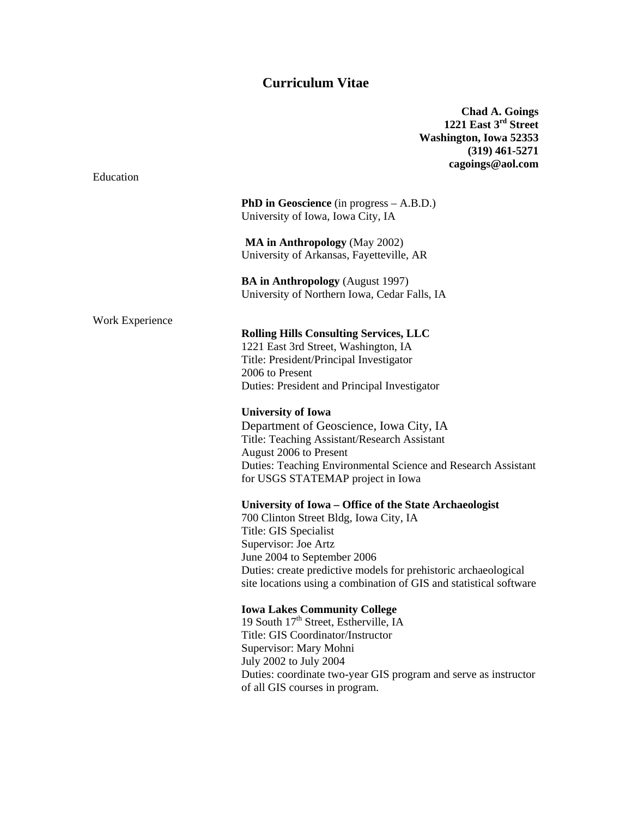# **Curriculum Vitae**

**Chad A. Goings 1221 East 3rd Street Washington, Iowa 52353 (319) 461-5271 cagoings@aol.com** 

**PhD in Geoscience** (in progress – A.B.D.) University of Iowa, Iowa City, IA

 **MA in Anthropology** (May 2002) University of Arkansas, Fayetteville, AR

**BA in Anthropology** (August 1997) University of Northern Iowa, Cedar Falls, IA

Work Experience

Education

### **Rolling Hills Consulting Services, LLC**

1221 East 3rd Street, Washington, IA Title: President/Principal Investigator 2006 to Present Duties: President and Principal Investigator

**University of Iowa** 

Department of Geoscience, Iowa City, IA Title: Teaching Assistant/Research Assistant August 2006 to Present Duties: Teaching Environmental Science and Research Assistant for USGS STATEMAP project in Iowa

#### **University of Iowa – Office of the State Archaeologist**

700 Clinton Street Bldg, Iowa City, IA Title: GIS Specialist Supervisor: Joe Artz June 2004 to September 2006 Duties: create predictive models for prehistoric archaeological site locations using a combination of GIS and statistical software

## **Iowa Lakes Community College**

19 South  $17<sup>th</sup>$  Street, Estherville, IA Title: GIS Coordinator/Instructor Supervisor: Mary Mohni July 2002 to July 2004 Duties: coordinate two-year GIS program and serve as instructor of all GIS courses in program.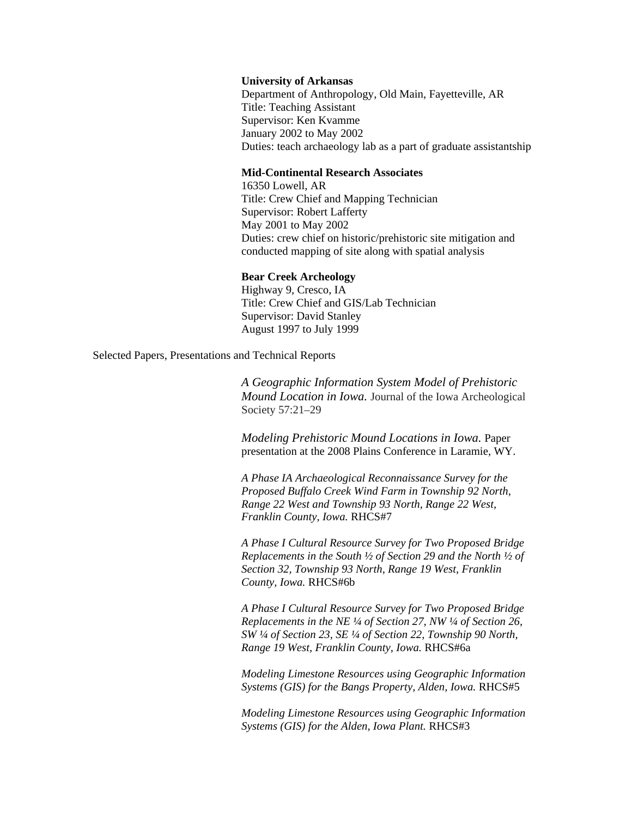#### **University of Arkansas**

Department of Anthropology, Old Main, Fayetteville, AR Title: Teaching Assistant Supervisor: Ken Kvamme January 2002 to May 2002 Duties: teach archaeology lab as a part of graduate assistantship

#### **Mid-Continental Research Associates**

16350 Lowell, AR Title: Crew Chief and Mapping Technician Supervisor: Robert Lafferty May 2001 to May 2002 Duties: crew chief on historic/prehistoric site mitigation and conducted mapping of site along with spatial analysis

### **Bear Creek Archeology**

Highway 9, Cresco, IA Title: Crew Chief and GIS/Lab Technician Supervisor: David Stanley August 1997 to July 1999

Selected Papers, Presentations and Technical Reports

 *A Geographic Information System Model of Prehistoric Mound Location in Iowa.* Journal of the Iowa Archeological Society 57:21–29

*Modeling Prehistoric Mound Locations in Iowa.* Paper presentation at the 2008 Plains Conference in Laramie, WY.

*A Phase IA Archaeological Reconnaissance Survey for the Proposed Buffalo Creek Wind Farm in Township 92 North, Range 22 West and Township 93 North, Range 22 West, Franklin County, Iowa.* RHCS#7

*A Phase I Cultural Resource Survey for Two Proposed Bridge Replacements in the South ½ of Section 29 and the North ½ of Section 32, Township 93 North, Range 19 West, Franklin County, Iowa.* RHCS#6b

*A Phase I Cultural Resource Survey for Two Proposed Bridge Replacements in the NE ¼ of Section 27, NW ¼ of Section 26, SW ¼ of Section 23, SE ¼ of Section 22, Township 90 North, Range 19 West, Franklin County, Iowa.* RHCS#6a

*Modeling Limestone Resources using Geographic Information Systems (GIS) for the Bangs Property, Alden, Iowa. RHCS#5* 

*Modeling Limestone Resources using Geographic Information Systems (GIS) for the Alden, Iowa Plant.* RHCS#3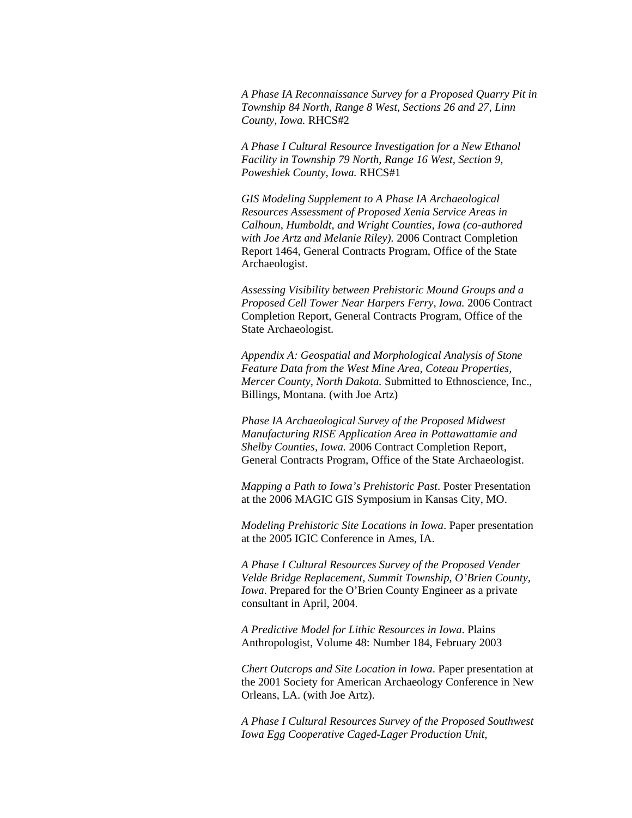*A Phase IA Reconnaissance Survey for a Proposed Quarry Pit in Township 84 North, Range 8 West, Sections 26 and 27, Linn County, Iowa.* RHCS#2

*A Phase I Cultural Resource Investigation for a New Ethanol Facility in Township 79 North, Range 16 West, Section 9, Poweshiek County, Iowa.* RHCS#1

*GIS Modeling Supplement to A Phase IA Archaeological Resources Assessment of Proposed Xenia Service Areas in Calhoun, Humboldt, and Wright Counties, Iowa (co-authored with Joe Artz and Melanie Riley).* 2006 Contract Completion Report 1464, General Contracts Program, Office of the State Archaeologist.

*Assessing Visibility between Prehistoric Mound Groups and a Proposed Cell Tower Near Harpers Ferry, Iowa.* 2006 Contract Completion Report, General Contracts Program, Office of the State Archaeologist.

*Appendix A: Geospatial and Morphological Analysis of Stone Feature Data from the West Mine Area, Coteau Properties, Mercer County, North Dakota.* Submitted to Ethnoscience, Inc., Billings, Montana. (with Joe Artz)

*Phase IA Archaeological Survey of the Proposed Midwest Manufacturing RISE Application Area in Pottawattamie and Shelby Counties, Iowa.* 2006 Contract Completion Report, General Contracts Program, Office of the State Archaeologist.

*Mapping a Path to Iowa's Prehistoric Past*. Poster Presentation at the 2006 MAGIC GIS Symposium in Kansas City, MO.

*Modeling Prehistoric Site Locations in Iowa*. Paper presentation at the 2005 IGIC Conference in Ames, IA.

*A Phase I Cultural Resources Survey of the Proposed Vender Velde Bridge Replacement, Summit Township, O'Brien County, Iowa*. Prepared for the O'Brien County Engineer as a private consultant in April, 2004.

*A Predictive Model for Lithic Resources in Iowa*. Plains Anthropologist, Volume 48: Number 184, February 2003

*Chert Outcrops and Site Location in Iowa*. Paper presentation at the 2001 Society for American Archaeology Conference in New Orleans, LA. (with Joe Artz).

*A Phase I Cultural Resources Survey of the Proposed Southwest Iowa Egg Cooperative Caged-Lager Production Unit,*